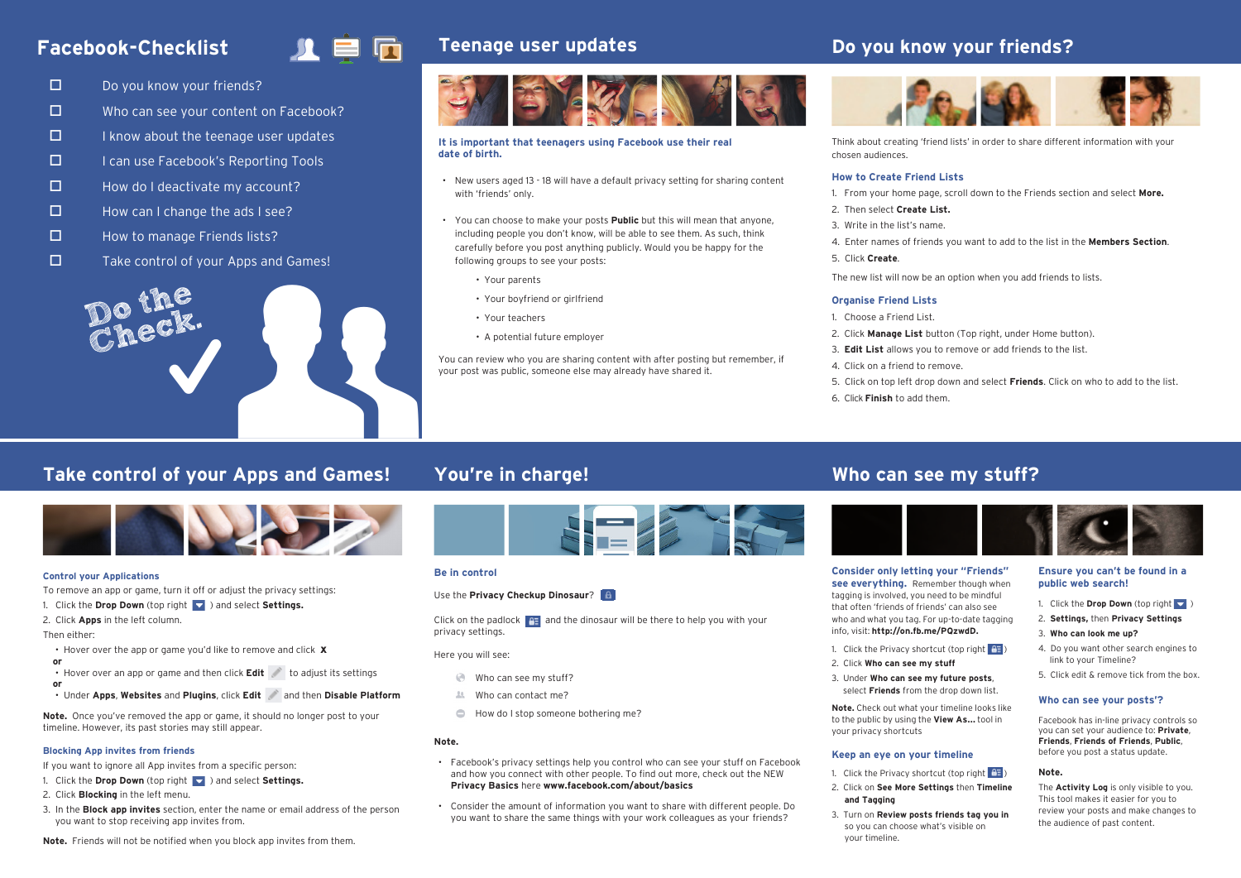## **Facebook-Checklist**

# 目向

- $\Box$  Do you know your friends?
- $\square$  Who can see your content on Facebook?
- $\Box$  I know about the teenage user updates
- $\Box$  I can use Facebook's Reporting Tools
- $\Box$  How do I deactivate my account?
- $\square$  How can I change the ads I see?
- $\Box$  How to manage Friends lists?
- $\Box$  Take control of your Apps and Games!



## **Teenage user updates**



#### **It is important that teenagers using Facebook use their real date of birth.**

- New users aged 13 18 will have a default privacy setting for sharing content with 'friends' only.
- You can choose to make your posts **Public** but this will mean that anyone, including people you don't know, will be able to see them. As such, think carefully before you post anything publicly. Would you be happy for the following groups to see your posts:
	- Your parents
	- Your boyfriend or girlfriend
	- Your teachers
	- A potential future employer

You can review who you are sharing content with after posting but remember, if your post was public, someone else may already have shared it.

## **Do you know your friends?**



Think about creating 'friend lists' in order to share different information with your chosen audiences.

### **How to Create Friend Lists**

- 1. From your home page, scroll down to the Friends section and select **More.**
- 2. Then select **Create List.**
- 3. Write in the list's name.
- 4. Enter names of friends you want to add to the list in the **Members Section**.
- 5. Click **Create**.
- The new list will now be an option when you add friends to lists.

#### **Organise Friend Lists**

- 1. Choose a Friend List.
- 2. Click **Manage List** button (Top right, under Home button).
- 3. **Edit List** allows you to remove or add friends to the list.
- 4. Click on a friend to remove.
- 5. Click on top left drop down and select **Friends**. Click on who to add to the list.
- 6. Click **Finish** to add them.

## **Take control of your Apps and Games!**



#### **Control your Applications**

To remove an app or game, turn it off or adjust the privacy settings:

1. Click the **Drop Down** (top right ) and select **Settings.**

2. Click **Apps** in the left column.

Then either:

- Hover over the app or game you'd like to remove and click **x**
- **or or**
- Hover over an app or game and then click **Edit** to adjust its settings
- Under **Apps**, **Websites** and **Plugins**, click **Edit** and then **Disable Platform**

**Note.** Once you've removed the app or game, it should no longer post to your timeline. However, its past stories may still appear.

#### **Blocking App invites from friends**

- If you want to ignore all App invites from a specific person:
- 1. Click the **Drop Down** (top right ) and select **Settings.**
- 2. Click **Blocking** in the left menu.
- 3. In the **Block app invites** section, enter the name or email address of the person you want to stop receiving app invites from.



#### **Be in control**

#### Use the **Privacy Checkup Dinosaur**?

Click on the padlock  $\mathbb{R}$  and the dinosaur will be there to help you with your privacy settings.

#### Here you will see:

- Who can see my stuff?
- Who can contact me?
- $\bigcirc$ How do I stop someone bothering me?

#### **Note.**

- Facebook's privacy settings help you control who can see your stuff on Facebook and how you connect with other people. To find out more, check out the NEW **Privacy Basics** here **www.facebook.com/about/basics**
- Consider the amount of information you want to share with different people. Do you want to share the same things with your work colleagues as your friends?

### **You're in charge! Who can see my stuff?**



**Consider only letting your "Friends" see everything.** Remember though when tagging is involved, you need to be mindful that often 'friends of friends' can also see who and what you tag. For up-to-date tagging info, visit: **http://on.fb.me/PQzwdD.**

- 1. Click the Privacy shortcut (top right  $\boxed{2\frac{1}{2}}$ )
- 2. Click **Who can see my stuff**
- 3. Under **Who can see my future posts**, select **Friends** from the drop down list.

**Note.** Check out what your timeline looks like to the public by using the **View As...** tool in your privacy shortcuts

#### **Keep an eye on your timeline**

- 1. Click the Privacy shortcut (top right  $\overline{P}$
- 2. Click on **See More Settings** then **Timeline and Tagging**
- 3. Turn on **Review posts friends tag you in** so you can choose what's visible on your timeline.

### **Ensure you can't be found in a public web search!**

- 1. Click the **Drop Down** (top right
- 2. **Settings,** then **Privacy Settings** 3. **Who can look me up?**
- 
- 4. Do you want other search engines to link to your Timeline?
- 5. Click edit & remove tick from the box.

### **Who can see your posts'?**

Facebook has in-line privacy controls so you can set your audience to: **Private**, **Friends**, **Friends of Friends**, **Public**, before you post a status update.

### **Note.**

The **Activity Log** is only visible to you. This tool makes it easier for you to review your posts and make changes to the audience of past content.

**Note.** Friends will not be notified when you block app invites from them.